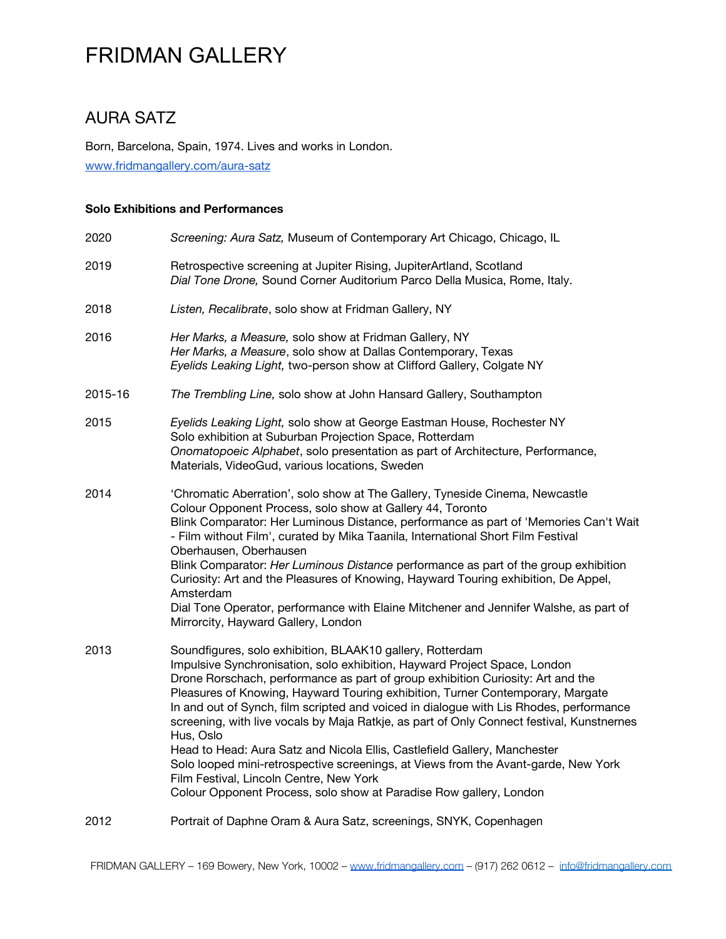### AURA SATZ

Born, Barcelona, Spain, 1974. Lives and works in London. [www.fridmangallery.com/aura-satz](https://www.fridmangallery.com/aura-satz)

#### **Solo Exhibitions and Performances**

| 2020    | Screening: Aura Satz, Museum of Contemporary Art Chicago, Chicago, IL                                                                                                                                                                                                                                                                                                                                                                                                                                                                                                                                                                                                                                                                                                                               |
|---------|-----------------------------------------------------------------------------------------------------------------------------------------------------------------------------------------------------------------------------------------------------------------------------------------------------------------------------------------------------------------------------------------------------------------------------------------------------------------------------------------------------------------------------------------------------------------------------------------------------------------------------------------------------------------------------------------------------------------------------------------------------------------------------------------------------|
| 2019    | Retrospective screening at Jupiter Rising, JupiterArtland, Scotland<br>Dial Tone Drone, Sound Corner Auditorium Parco Della Musica, Rome, Italy.                                                                                                                                                                                                                                                                                                                                                                                                                                                                                                                                                                                                                                                    |
| 2018    | Listen, Recalibrate, solo show at Fridman Gallery, NY                                                                                                                                                                                                                                                                                                                                                                                                                                                                                                                                                                                                                                                                                                                                               |
| 2016    | Her Marks, a Measure, solo show at Fridman Gallery, NY<br>Her Marks, a Measure, solo show at Dallas Contemporary, Texas<br>Eyelids Leaking Light, two-person show at Clifford Gallery, Colgate NY                                                                                                                                                                                                                                                                                                                                                                                                                                                                                                                                                                                                   |
| 2015-16 | The Trembling Line, solo show at John Hansard Gallery, Southampton                                                                                                                                                                                                                                                                                                                                                                                                                                                                                                                                                                                                                                                                                                                                  |
| 2015    | Eyelids Leaking Light, solo show at George Eastman House, Rochester NY<br>Solo exhibition at Suburban Projection Space, Rotterdam<br>Onomatopoeic Alphabet, solo presentation as part of Architecture, Performance,<br>Materials, VideoGud, various locations, Sweden                                                                                                                                                                                                                                                                                                                                                                                                                                                                                                                               |
| 2014    | 'Chromatic Aberration', solo show at The Gallery, Tyneside Cinema, Newcastle<br>Colour Opponent Process, solo show at Gallery 44, Toronto<br>Blink Comparator: Her Luminous Distance, performance as part of 'Memories Can't Wait<br>- Film without Film', curated by Mika Taanila, International Short Film Festival<br>Oberhausen, Oberhausen<br>Blink Comparator: Her Luminous Distance performance as part of the group exhibition<br>Curiosity: Art and the Pleasures of Knowing, Hayward Touring exhibition, De Appel,<br>Amsterdam<br>Dial Tone Operator, performance with Elaine Mitchener and Jennifer Walshe, as part of<br>Mirrorcity, Hayward Gallery, London                                                                                                                           |
| 2013    | Soundfigures, solo exhibition, BLAAK10 gallery, Rotterdam<br>Impulsive Synchronisation, solo exhibition, Hayward Project Space, London<br>Drone Rorschach, performance as part of group exhibition Curiosity: Art and the<br>Pleasures of Knowing, Hayward Touring exhibition, Turner Contemporary, Margate<br>In and out of Synch, film scripted and voiced in dialogue with Lis Rhodes, performance<br>screening, with live vocals by Maja Ratkje, as part of Only Connect festival, Kunstnernes<br>Hus, Oslo<br>Head to Head: Aura Satz and Nicola Ellis, Castlefield Gallery, Manchester<br>Solo looped mini-retrospective screenings, at Views from the Avant-garde, New York<br>Film Festival, Lincoln Centre, New York<br>Colour Opponent Process, solo show at Paradise Row gallery, London |
| 2012    | Portrait of Daphne Oram & Aura Satz, screenings, SNYK, Copenhagen                                                                                                                                                                                                                                                                                                                                                                                                                                                                                                                                                                                                                                                                                                                                   |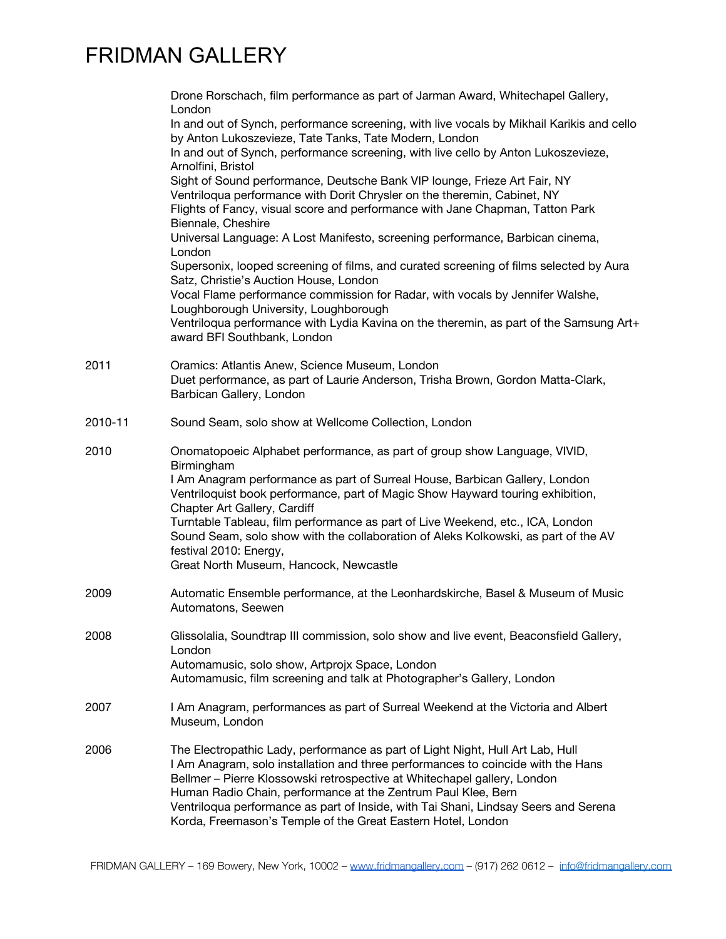| Drone Rorschach, film performance as part of Jarman Award, Whitechapel Gallery,<br>London<br>In and out of Synch, performance screening, with live vocals by Mikhail Karikis and cello                                                                                                                                                                                                                                                                                 |
|------------------------------------------------------------------------------------------------------------------------------------------------------------------------------------------------------------------------------------------------------------------------------------------------------------------------------------------------------------------------------------------------------------------------------------------------------------------------|
| by Anton Lukoszevieze, Tate Tanks, Tate Modern, London<br>In and out of Synch, performance screening, with live cello by Anton Lukoszevieze,                                                                                                                                                                                                                                                                                                                           |
| Arnolfini, Bristol<br>Sight of Sound performance, Deutsche Bank VIP lounge, Frieze Art Fair, NY<br>Ventriloqua performance with Dorit Chrysler on the theremin, Cabinet, NY<br>Flights of Fancy, visual score and performance with Jane Chapman, Tatton Park<br>Biennale, Cheshire                                                                                                                                                                                     |
| Universal Language: A Lost Manifesto, screening performance, Barbican cinema,<br>London                                                                                                                                                                                                                                                                                                                                                                                |
| Supersonix, looped screening of films, and curated screening of films selected by Aura<br>Satz, Christie's Auction House, London                                                                                                                                                                                                                                                                                                                                       |
| Vocal Flame performance commission for Radar, with vocals by Jennifer Walshe,<br>Loughborough University, Loughborough<br>Ventriloqua performance with Lydia Kavina on the theremin, as part of the Samsung Art+                                                                                                                                                                                                                                                       |
| award BFI Southbank, London                                                                                                                                                                                                                                                                                                                                                                                                                                            |
| Oramics: Atlantis Anew, Science Museum, London<br>Duet performance, as part of Laurie Anderson, Trisha Brown, Gordon Matta-Clark,<br>Barbican Gallery, London                                                                                                                                                                                                                                                                                                          |
| Sound Seam, solo show at Wellcome Collection, London                                                                                                                                                                                                                                                                                                                                                                                                                   |
| Onomatopoeic Alphabet performance, as part of group show Language, VIVID,<br>Birmingham                                                                                                                                                                                                                                                                                                                                                                                |
| I Am Anagram performance as part of Surreal House, Barbican Gallery, London<br>Ventriloquist book performance, part of Magic Show Hayward touring exhibition,<br>Chapter Art Gallery, Cardiff                                                                                                                                                                                                                                                                          |
| Turntable Tableau, film performance as part of Live Weekend, etc., ICA, London<br>Sound Seam, solo show with the collaboration of Aleks Kolkowski, as part of the AV<br>festival 2010: Energy,<br>Great North Museum, Hancock, Newcastle                                                                                                                                                                                                                               |
| Automatic Ensemble performance, at the Leonhardskirche, Basel & Museum of Music                                                                                                                                                                                                                                                                                                                                                                                        |
| Automatons, Seewen                                                                                                                                                                                                                                                                                                                                                                                                                                                     |
| Glissolalia, Soundtrap III commission, solo show and live event, Beaconsfield Gallery,<br>London<br>Automamusic, solo show, Artprojx Space, London                                                                                                                                                                                                                                                                                                                     |
| Automamusic, film screening and talk at Photographer's Gallery, London                                                                                                                                                                                                                                                                                                                                                                                                 |
| I Am Anagram, performances as part of Surreal Weekend at the Victoria and Albert<br>Museum, London                                                                                                                                                                                                                                                                                                                                                                     |
| The Electropathic Lady, performance as part of Light Night, Hull Art Lab, Hull<br>I Am Anagram, solo installation and three performances to coincide with the Hans<br>Bellmer - Pierre Klossowski retrospective at Whitechapel gallery, London<br>Human Radio Chain, performance at the Zentrum Paul Klee, Bern<br>Ventriloqua performance as part of Inside, with Tai Shani, Lindsay Seers and Serena<br>Korda, Freemason's Temple of the Great Eastern Hotel, London |
|                                                                                                                                                                                                                                                                                                                                                                                                                                                                        |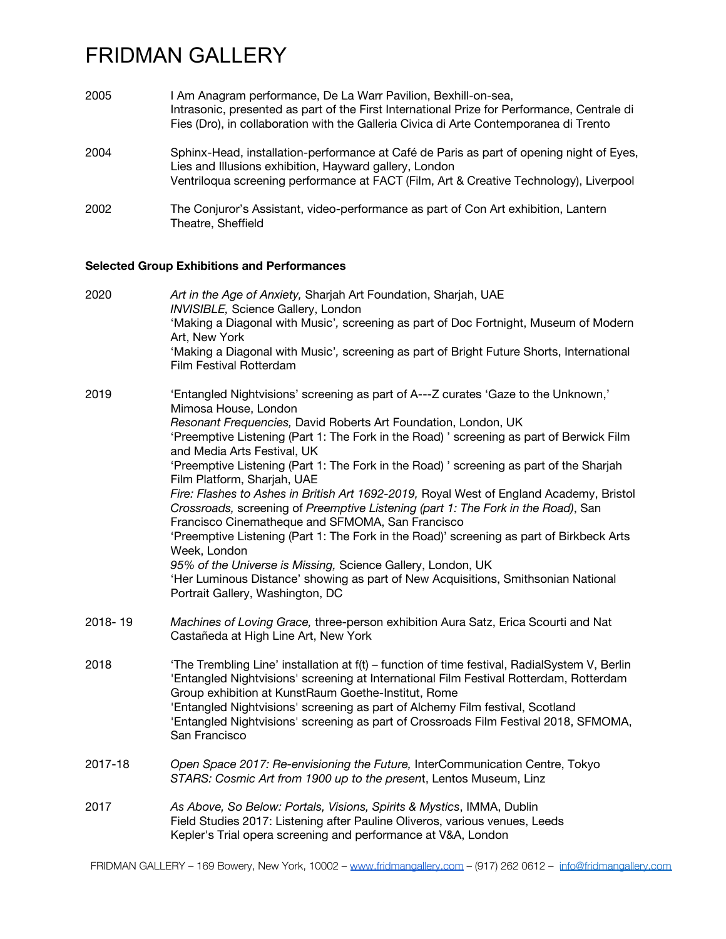| 2005 | I Am Anagram performance, De La Warr Pavilion, Bexhill-on-sea,<br>Intrasonic, presented as part of the First International Prize for Performance, Centrale di<br>Fies (Dro), in collaboration with the Galleria Civica di Arte Contemporanea di Trento |
|------|--------------------------------------------------------------------------------------------------------------------------------------------------------------------------------------------------------------------------------------------------------|
| 2004 | Sphinx-Head, installation-performance at Café de Paris as part of opening night of Eyes,<br>Lies and Illusions exhibition, Hayward gallery, London<br>Ventriloqua screening performance at FACT (Film, Art & Creative Technology), Liverpool           |
| 2002 | The Conjuror's Assistant, video-performance as part of Con Art exhibition, Lantern<br>Theatre, Sheffield                                                                                                                                               |

### **Selected Group Exhibitions and Performances**

| 2020    | Art in the Age of Anxiety, Sharjah Art Foundation, Sharjah, UAE<br>INVISIBLE, Science Gallery, London<br>'Making a Diagonal with Music', screening as part of Doc Fortnight, Museum of Modern<br>Art, New York<br>'Making a Diagonal with Music', screening as part of Bright Future Shorts, International<br>Film Festival Rotterdam                                                                                                                                                                                                                                                                                                                                                                                                                                                                                                                                                                                                                                     |
|---------|---------------------------------------------------------------------------------------------------------------------------------------------------------------------------------------------------------------------------------------------------------------------------------------------------------------------------------------------------------------------------------------------------------------------------------------------------------------------------------------------------------------------------------------------------------------------------------------------------------------------------------------------------------------------------------------------------------------------------------------------------------------------------------------------------------------------------------------------------------------------------------------------------------------------------------------------------------------------------|
| 2019    | 'Entangled Nightvisions' screening as part of A---Z curates 'Gaze to the Unknown,'<br>Mimosa House, London<br>Resonant Frequencies, David Roberts Art Foundation, London, UK<br>'Preemptive Listening (Part 1: The Fork in the Road) ' screening as part of Berwick Film<br>and Media Arts Festival, UK<br>'Preemptive Listening (Part 1: The Fork in the Road) ' screening as part of the Sharjah<br>Film Platform, Sharjah, UAE<br>Fire: Flashes to Ashes in British Art 1692-2019, Royal West of England Academy, Bristol<br>Crossroads, screening of Preemptive Listening (part 1: The Fork in the Road), San<br>Francisco Cinematheque and SFMOMA, San Francisco<br>'Preemptive Listening (Part 1: The Fork in the Road)' screening as part of Birkbeck Arts<br>Week, London<br>95% of the Universe is Missing, Science Gallery, London, UK<br>'Her Luminous Distance' showing as part of New Acquisitions, Smithsonian National<br>Portrait Gallery, Washington, DC |
| 2018-19 | Machines of Loving Grace, three-person exhibition Aura Satz, Erica Scourti and Nat<br>Castañeda at High Line Art, New York                                                                                                                                                                                                                                                                                                                                                                                                                                                                                                                                                                                                                                                                                                                                                                                                                                                |
| 2018    | 'The Trembling Line' installation at f(t) - function of time festival, RadialSystem V, Berlin<br>'Entangled Nightvisions' screening at International Film Festival Rotterdam, Rotterdam<br>Group exhibition at KunstRaum Goethe-Institut, Rome<br>'Entangled Nightvisions' screening as part of Alchemy Film festival, Scotland<br>'Entangled Nightvisions' screening as part of Crossroads Film Festival 2018, SFMOMA,<br>San Francisco                                                                                                                                                                                                                                                                                                                                                                                                                                                                                                                                  |
| 2017-18 | Open Space 2017: Re-envisioning the Future, InterCommunication Centre, Tokyo<br>STARS: Cosmic Art from 1900 up to the present, Lentos Museum, Linz                                                                                                                                                                                                                                                                                                                                                                                                                                                                                                                                                                                                                                                                                                                                                                                                                        |
| 2017    | As Above, So Below: Portals, Visions, Spirits & Mystics, IMMA, Dublin<br>Field Studies 2017: Listening after Pauline Oliveros, various venues, Leeds<br>Kepler's Trial opera screening and performance at V&A, London                                                                                                                                                                                                                                                                                                                                                                                                                                                                                                                                                                                                                                                                                                                                                     |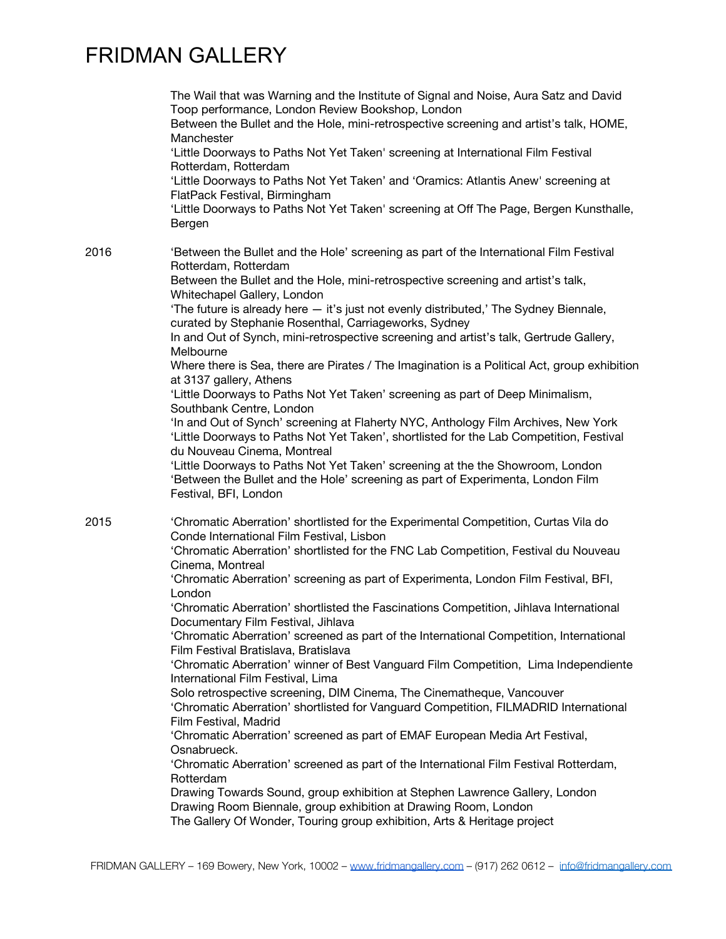|      | The Wail that was Warning and the Institute of Signal and Noise, Aura Satz and David<br>Toop performance, London Review Bookshop, London<br>Between the Bullet and the Hole, mini-retrospective screening and artist's talk, HOME,<br>Manchester<br>'Little Doorways to Paths Not Yet Taken' screening at International Film Festival<br>Rotterdam, Rotterdam<br>'Little Doorways to Paths Not Yet Taken' and 'Oramics: Atlantis Anew' screening at<br>FlatPack Festival, Birmingham<br>'Little Doorways to Paths Not Yet Taken' screening at Off The Page, Bergen Kunsthalle,<br>Bergen                                                                                                                                                                                                                                                                                                                                                                                                                                                                                                                                                                                                                                                                                                                                                                                 |
|------|--------------------------------------------------------------------------------------------------------------------------------------------------------------------------------------------------------------------------------------------------------------------------------------------------------------------------------------------------------------------------------------------------------------------------------------------------------------------------------------------------------------------------------------------------------------------------------------------------------------------------------------------------------------------------------------------------------------------------------------------------------------------------------------------------------------------------------------------------------------------------------------------------------------------------------------------------------------------------------------------------------------------------------------------------------------------------------------------------------------------------------------------------------------------------------------------------------------------------------------------------------------------------------------------------------------------------------------------------------------------------|
| 2016 | 'Between the Bullet and the Hole' screening as part of the International Film Festival<br>Rotterdam, Rotterdam<br>Between the Bullet and the Hole, mini-retrospective screening and artist's talk,<br>Whitechapel Gallery, London<br>'The future is already here - it's just not evenly distributed,' The Sydney Biennale,<br>curated by Stephanie Rosenthal, Carriageworks, Sydney<br>In and Out of Synch, mini-retrospective screening and artist's talk, Gertrude Gallery,<br>Melbourne<br>Where there is Sea, there are Pirates / The Imagination is a Political Act, group exhibition<br>at 3137 gallery, Athens<br>'Little Doorways to Paths Not Yet Taken' screening as part of Deep Minimalism,<br>Southbank Centre, London<br>'In and Out of Synch' screening at Flaherty NYC, Anthology Film Archives, New York<br>'Little Doorways to Paths Not Yet Taken', shortlisted for the Lab Competition, Festival<br>du Nouveau Cinema, Montreal<br>'Little Doorways to Paths Not Yet Taken' screening at the the Showroom, London<br>'Between the Bullet and the Hole' screening as part of Experimenta, London Film<br>Festival, BFI, London                                                                                                                                                                                                                        |
| 2015 | 'Chromatic Aberration' shortlisted for the Experimental Competition, Curtas Vila do<br>Conde International Film Festival, Lisbon<br>'Chromatic Aberration' shortlisted for the FNC Lab Competition, Festival du Nouveau<br>Cinema, Montreal<br>'Chromatic Aberration' screening as part of Experimenta, London Film Festival, BFI,<br>London<br>'Chromatic Aberration' shortlisted the Fascinations Competition, Jihlava International<br>Documentary Film Festival, Jihlava<br>'Chromatic Aberration' screened as part of the International Competition, International<br>Film Festival Bratislava, Bratislava<br>'Chromatic Aberration' winner of Best Vanguard Film Competition, Lima Independiente<br>International Film Festival, Lima<br>Solo retrospective screening, DIM Cinema, The Cinematheque, Vancouver<br>'Chromatic Aberration' shortlisted for Vanguard Competition, FILMADRID International<br>Film Festival, Madrid<br>'Chromatic Aberration' screened as part of EMAF European Media Art Festival,<br>Osnabrueck.<br>'Chromatic Aberration' screened as part of the International Film Festival Rotterdam,<br>Rotterdam<br>Drawing Towards Sound, group exhibition at Stephen Lawrence Gallery, London<br>Drawing Room Biennale, group exhibition at Drawing Room, London<br>The Gallery Of Wonder, Touring group exhibition, Arts & Heritage project |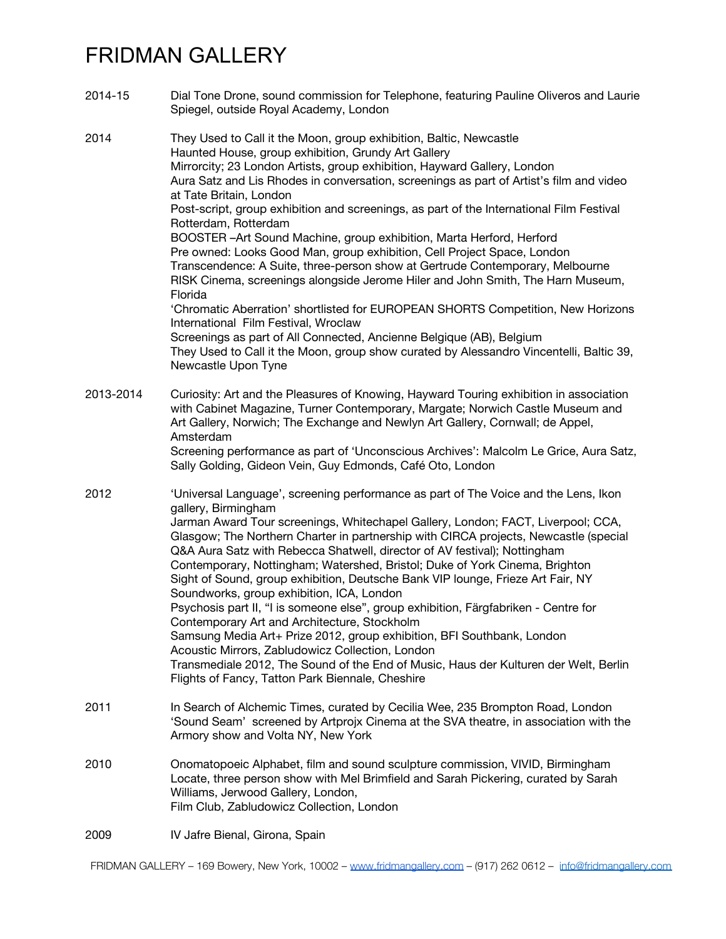| 2014-15   | Dial Tone Drone, sound commission for Telephone, featuring Pauline Oliveros and Laurie<br>Spiegel, outside Royal Academy, London                                                                                                                                                                                                                                                                                                                                                                                                                                                                                                                                                                                                                                                                                                                                                                                                                                                                                                                                                                       |
|-----------|--------------------------------------------------------------------------------------------------------------------------------------------------------------------------------------------------------------------------------------------------------------------------------------------------------------------------------------------------------------------------------------------------------------------------------------------------------------------------------------------------------------------------------------------------------------------------------------------------------------------------------------------------------------------------------------------------------------------------------------------------------------------------------------------------------------------------------------------------------------------------------------------------------------------------------------------------------------------------------------------------------------------------------------------------------------------------------------------------------|
| 2014      | They Used to Call it the Moon, group exhibition, Baltic, Newcastle<br>Haunted House, group exhibition, Grundy Art Gallery<br>Mirrorcity; 23 London Artists, group exhibition, Hayward Gallery, London<br>Aura Satz and Lis Rhodes in conversation, screenings as part of Artist's film and video<br>at Tate Britain, London<br>Post-script, group exhibition and screenings, as part of the International Film Festival<br>Rotterdam, Rotterdam<br>BOOSTER-Art Sound Machine, group exhibition, Marta Herford, Herford<br>Pre owned: Looks Good Man, group exhibition, Cell Project Space, London<br>Transcendence: A Suite, three-person show at Gertrude Contemporary, Melbourne<br>RISK Cinema, screenings alongside Jerome Hiler and John Smith, The Harn Museum,<br>Florida<br>'Chromatic Aberration' shortlisted for EUROPEAN SHORTS Competition, New Horizons<br>International Film Festival, Wroclaw<br>Screenings as part of All Connected, Ancienne Belgique (AB), Belgium<br>They Used to Call it the Moon, group show curated by Alessandro Vincentelli, Baltic 39,<br>Newcastle Upon Tyne |
| 2013-2014 | Curiosity: Art and the Pleasures of Knowing, Hayward Touring exhibition in association<br>with Cabinet Magazine, Turner Contemporary, Margate; Norwich Castle Museum and<br>Art Gallery, Norwich; The Exchange and Newlyn Art Gallery, Cornwall; de Appel,<br>Amsterdam<br>Screening performance as part of 'Unconscious Archives': Malcolm Le Grice, Aura Satz,<br>Sally Golding, Gideon Vein, Guy Edmonds, Café Oto, London                                                                                                                                                                                                                                                                                                                                                                                                                                                                                                                                                                                                                                                                          |
| 2012      | 'Universal Language', screening performance as part of The Voice and the Lens, Ikon<br>gallery, Birmingham<br>Jarman Award Tour screenings, Whitechapel Gallery, London; FACT, Liverpool; CCA,<br>Glasgow; The Northern Charter in partnership with CIRCA projects, Newcastle (special<br>Q&A Aura Satz with Rebecca Shatwell, director of AV festival); Nottingham<br>Contemporary, Nottingham; Watershed, Bristol; Duke of York Cinema, Brighton<br>Sight of Sound, group exhibition, Deutsche Bank VIP lounge, Frieze Art Fair, NY<br>Soundworks, group exhibition, ICA, London<br>Psychosis part II, "I is someone else", group exhibition, Färgfabriken - Centre for<br>Contemporary Art and Architecture, Stockholm<br>Samsung Media Art+ Prize 2012, group exhibition, BFI Southbank, London<br>Acoustic Mirrors, Zabludowicz Collection, London<br>Transmediale 2012, The Sound of the End of Music, Haus der Kulturen der Welt, Berlin<br>Flights of Fancy, Tatton Park Biennale, Cheshire                                                                                                    |
| 2011      | In Search of Alchemic Times, curated by Cecilia Wee, 235 Brompton Road, London<br>'Sound Seam' screened by Artprojx Cinema at the SVA theatre, in association with the<br>Armory show and Volta NY, New York                                                                                                                                                                                                                                                                                                                                                                                                                                                                                                                                                                                                                                                                                                                                                                                                                                                                                           |
| 2010      | Onomatopoeic Alphabet, film and sound sculpture commission, VIVID, Birmingham<br>Locate, three person show with Mel Brimfield and Sarah Pickering, curated by Sarah<br>Williams, Jerwood Gallery, London,<br>Film Club, Zabludowicz Collection, London                                                                                                                                                                                                                                                                                                                                                                                                                                                                                                                                                                                                                                                                                                                                                                                                                                                 |
| 2009      | IV Jafre Bienal, Girona, Spain                                                                                                                                                                                                                                                                                                                                                                                                                                                                                                                                                                                                                                                                                                                                                                                                                                                                                                                                                                                                                                                                         |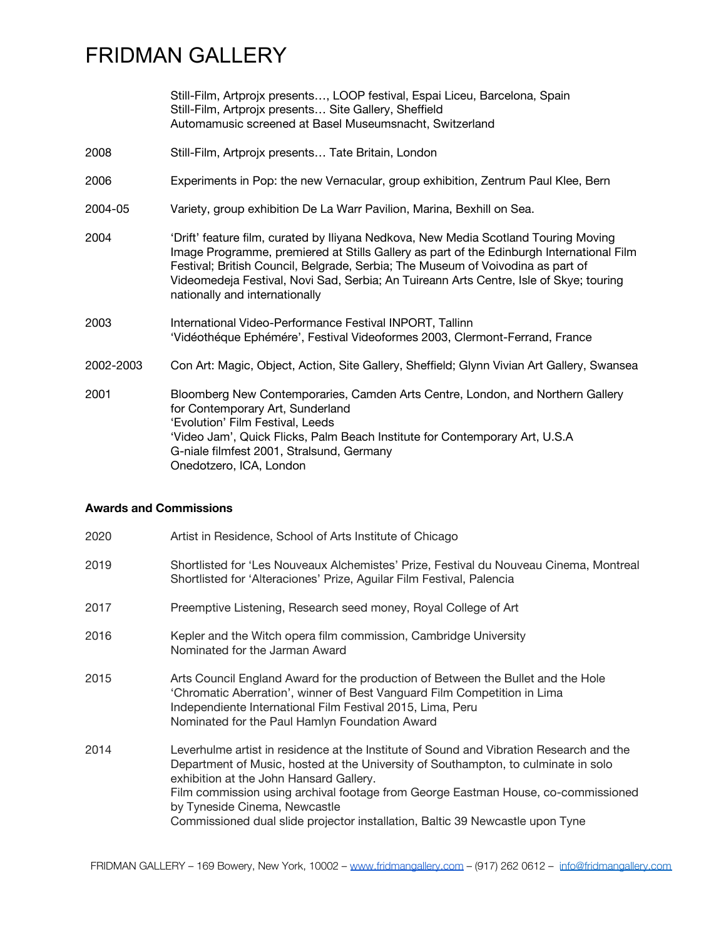Still-Film, Artprojx presents…, LOOP festival, Espai Liceu, Barcelona, Spain Still-Film, Artprojx presents… Site Gallery, Sheffield Automamusic screened at Basel Museumsnacht, Switzerland

- 2008 Still-Film, Artprojx presents… Tate Britain, London
- 2006 Experiments in Pop: the new Vernacular, group exhibition, Zentrum Paul Klee, Bern
- 2004-05 Variety, group exhibition De La Warr Pavilion, Marina, Bexhill on Sea.
- 2004 'Drift' feature film, curated by Iliyana Nedkova, New Media Scotland Touring Moving Image Programme, premiered at Stills Gallery as part of the Edinburgh International Film Festival; British Council, Belgrade, Serbia; The Museum of Voivodina as part of Videomedeja Festival, Novi Sad, Serbia; An Tuireann Arts Centre, Isle of Skye; touring nationally and internationally
- 2003 International Video-Performance Festival INPORT, Tallinn 'Vidéothéque Ephémére', Festival Videoformes 2003, Clermont-Ferrand, France
- 2002-2003 Con Art: Magic, Object, Action, Site Gallery, Sheffield; Glynn Vivian Art Gallery, Swansea
- 2001 Bloomberg New Contemporaries, Camden Arts Centre, London, and Northern Gallery for Contemporary Art, Sunderland 'Evolution' Film Festival, Leeds 'Video Jam', Quick Flicks, Palm Beach Institute for Contemporary Art, U.S.A G-niale filmfest 2001, Stralsund, Germany Onedotzero, ICA, London

#### **Awards and Commissions**

2020 Artist in Residence, School of Arts Institute of Chicago 2019 Shortlisted for 'Les Nouveaux Alchemistes' Prize, Festival du Nouveau Cinema, Montreal Shortlisted for 'Alteraciones' Prize, Aguilar Film Festival, Palencia 2017 Preemptive Listening, Research seed money, Royal College of Art 2016 Kepler and the Witch opera film commission, Cambridge University Nominated for the Jarman Award 2015 Arts Council England Award for the production of Between the Bullet and the Hole 'Chromatic Aberration', winner of Best Vanguard Film Competition in Lima Independiente International Film Festival 2015, Lima, Peru Nominated for the Paul Hamlyn Foundation Award 2014 Leverhulme artist in residence at the Institute of Sound and Vibration Research and the Department of Music, hosted at the University of Southampton, to culminate in solo exhibition at the John Hansard Gallery. Film commission using archival footage from George Eastman House, co-commissioned by Tyneside Cinema, Newcastle Commissioned dual slide projector installation, Baltic 39 Newcastle upon Tyne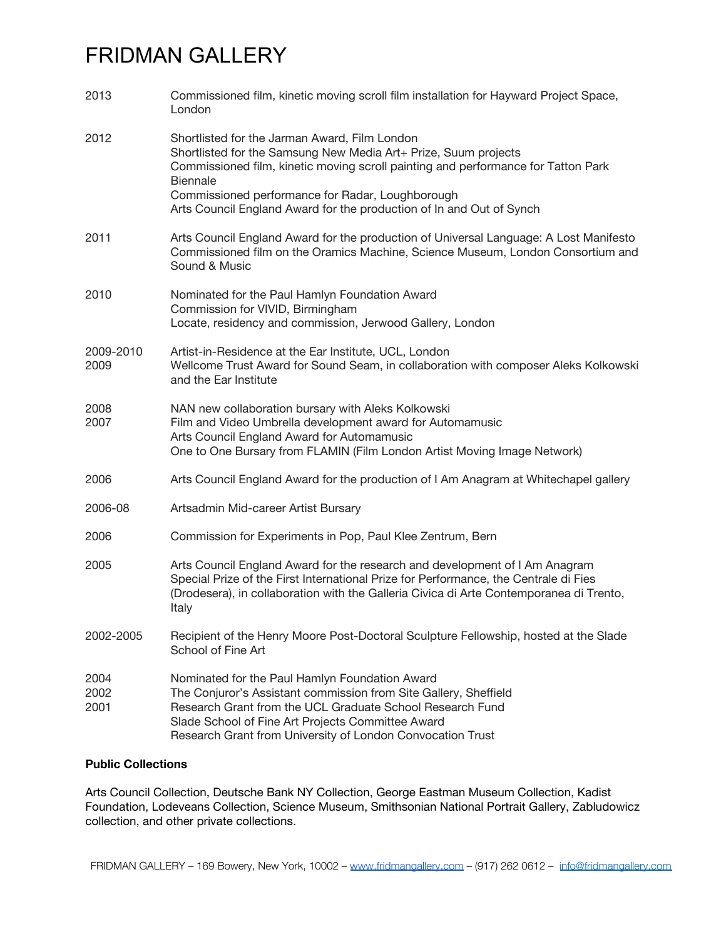| 2013                 | Commissioned film, kinetic moving scroll film installation for Hayward Project Space,<br>London                                                                                                                                                                                                                                               |
|----------------------|-----------------------------------------------------------------------------------------------------------------------------------------------------------------------------------------------------------------------------------------------------------------------------------------------------------------------------------------------|
| 2012                 | Shortlisted for the Jarman Award, Film London<br>Shortlisted for the Samsung New Media Art+ Prize, Suum projects<br>Commissioned film, kinetic moving scroll painting and performance for Tatton Park<br>Biennale<br>Commissioned performance for Radar, Loughborough<br>Arts Council England Award for the production of In and Out of Synch |
| 2011                 | Arts Council England Award for the production of Universal Language: A Lost Manifesto<br>Commissioned film on the Oramics Machine, Science Museum, London Consortium and<br>Sound & Music                                                                                                                                                     |
| 2010                 | Nominated for the Paul Hamlyn Foundation Award<br>Commission for VIVID, Birmingham<br>Locate, residency and commission, Jerwood Gallery, London                                                                                                                                                                                               |
| 2009-2010<br>2009    | Artist-in-Residence at the Ear Institute, UCL, London<br>Wellcome Trust Award for Sound Seam, in collaboration with composer Aleks Kolkowski<br>and the Ear Institute                                                                                                                                                                         |
| 2008<br>2007         | NAN new collaboration bursary with Aleks Kolkowski<br>Film and Video Umbrella development award for Automamusic<br>Arts Council England Award for Automamusic<br>One to One Bursary from FLAMIN (Film London Artist Moving Image Network)                                                                                                     |
| 2006                 | Arts Council England Award for the production of I Am Anagram at Whitechapel gallery                                                                                                                                                                                                                                                          |
| 2006-08              | Artsadmin Mid-career Artist Bursary                                                                                                                                                                                                                                                                                                           |
| 2006                 | Commission for Experiments in Pop, Paul Klee Zentrum, Bern                                                                                                                                                                                                                                                                                    |
| 2005                 | Arts Council England Award for the research and development of I Am Anagram<br>Special Prize of the First International Prize for Performance, the Centrale di Fies<br>(Drodesera), in collaboration with the Galleria Civica di Arte Contemporanea di Trento,<br>Italy                                                                       |
| 2002-2005            | Recipient of the Henry Moore Post-Doctoral Sculpture Fellowship, hosted at the Slade<br>School of Fine Art                                                                                                                                                                                                                                    |
| 2004<br>2002<br>2001 | Nominated for the Paul Hamlyn Foundation Award<br>The Conjuror's Assistant commission from Site Gallery, Sheffield<br>Research Grant from the UCL Graduate School Research Fund<br>Slade School of Fine Art Projects Committee Award<br>Research Grant from University of London Convocation Trust                                            |

#### **Public Collections**

Arts Council Collection, Deutsche Bank NY Collection, George Eastman Museum Collection, Kadist Foundation, Lodeveans Collection, Science Museum, Smithsonian National Portrait Gallery, Zabludowicz collection, and other private collections.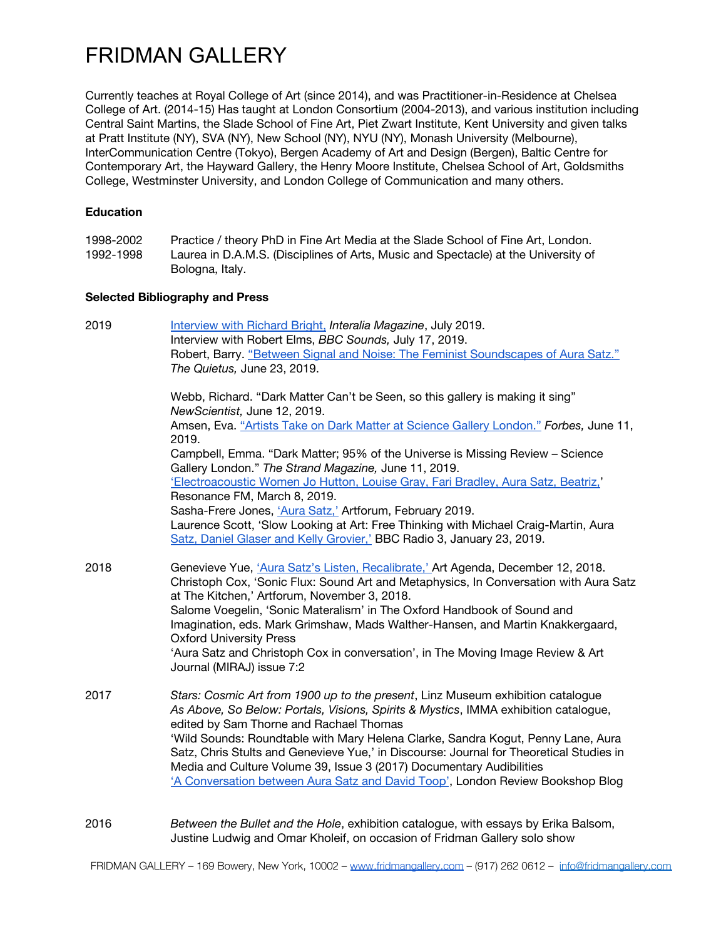Currently teaches at Royal College of Art (since 2014), and was Practitioner-in-Residence at Chelsea College of Art. (2014-15) Has taught at London Consortium (2004-2013), and various institution including Central Saint Martins, the Slade School of Fine Art, Piet Zwart Institute, Kent University and given talks at Pratt Institute (NY), SVA (NY), New School (NY), NYU (NY), Monash University (Melbourne), InterCommunication Centre (Tokyo), Bergen Academy of Art and Design (Bergen), Baltic Centre for Contemporary Art, the Hayward Gallery, the Henry Moore Institute, Chelsea School of Art, Goldsmiths College, Westminster University, and London College of Communication and many others.

#### **Education**

1998-2002 Practice / theory PhD in Fine Art Media at the Slade School of Fine Art, London.<br>1992-1998 Laurea in D.A.M.S. (Disciplines of Arts. Music and Spectacle) at the University of Laurea in D.A.M.S. (Disciplines of Arts, Music and Spectacle) at the University of Bologna, Italy.

#### **Selected Bibliography and Press**

| 2019 | Interview with Richard Bright, Interalia Magazine, July 2019.<br>Interview with Robert Elms, BBC Sounds, July 17, 2019.<br>Robert, Barry. "Between Signal and Noise: The Feminist Soundscapes of Aura Satz."<br>The Quietus, June 23, 2019. |
|------|---------------------------------------------------------------------------------------------------------------------------------------------------------------------------------------------------------------------------------------------|
|      | Webb, Richard. "Dark Matter Can't be Seen, so this gallery is making it sing"<br>NewScientist, June 12, 2019.                                                                                                                               |
|      | Amsen, Eva. "Artists Take on Dark Matter at Science Gallery London." Forbes, June 11,                                                                                                                                                       |
|      | 2019.<br>Campbell, Emma. "Dark Matter; 95% of the Universe is Missing Review - Science<br>Gallery London." The Strand Magazine, June 11, 2019.                                                                                              |
|      | 'Electroacoustic Women Jo Hutton, Louise Gray, Fari Bradley, Aura Satz, Beatriz,'                                                                                                                                                           |
|      | Resonance FM, March 8, 2019.<br>Sasha-Frere Jones, 'Aura Satz,' Artforum, February 2019.                                                                                                                                                    |
|      | Laurence Scott, 'Slow Looking at Art: Free Thinking with Michael Craig-Martin, Aura<br>Satz, Daniel Glaser and Kelly Grovier,' BBC Radio 3, January 23, 2019.                                                                               |
| 2018 | Genevieve Yue, 'Aura Satz's Listen, Recalibrate,' Art Agenda, December 12, 2018.<br>Christoph Cox, 'Sonic Flux: Sound Art and Metaphysics, In Conversation with Aura Satz<br>at The Kitchen,' Artforum, November 3, 2018.                   |
|      | Salome Voegelin, 'Sonic Materalism' in The Oxford Handbook of Sound and<br>Imagination, eds. Mark Grimshaw, Mads Walther-Hansen, and Martin Knakkergaard,<br><b>Oxford University Press</b>                                                 |
|      | 'Aura Satz and Christoph Cox in conversation', in The Moving Image Review & Art<br>Journal (MIRAJ) issue 7:2                                                                                                                                |
| 2017 | Stars: Cosmic Art from 1900 up to the present, Linz Museum exhibition catalogue<br>As Above, So Below: Portals, Visions, Spirits & Mystics, IMMA exhibition catalogue,<br>edited by Sam Thorne and Rachael Thomas                           |
|      | 'Wild Sounds: Roundtable with Mary Helena Clarke, Sandra Kogut, Penny Lane, Aura<br>Satz, Chris Stults and Genevieve Yue,' in Discourse: Journal for Theoretical Studies in                                                                 |
|      | Media and Culture Volume 39, Issue 3 (2017) Documentary Audibilities<br>'A Conversation between Aura Satz and David Toop', London Review Bookshop Blog                                                                                      |
| 2016 | Between the Bullet and the Hole, exhibition catalogue, with essays by Erika Balsom,<br>Justine Ludwig and Omar Kholeif, on occasion of Fridman Gallery solo show                                                                            |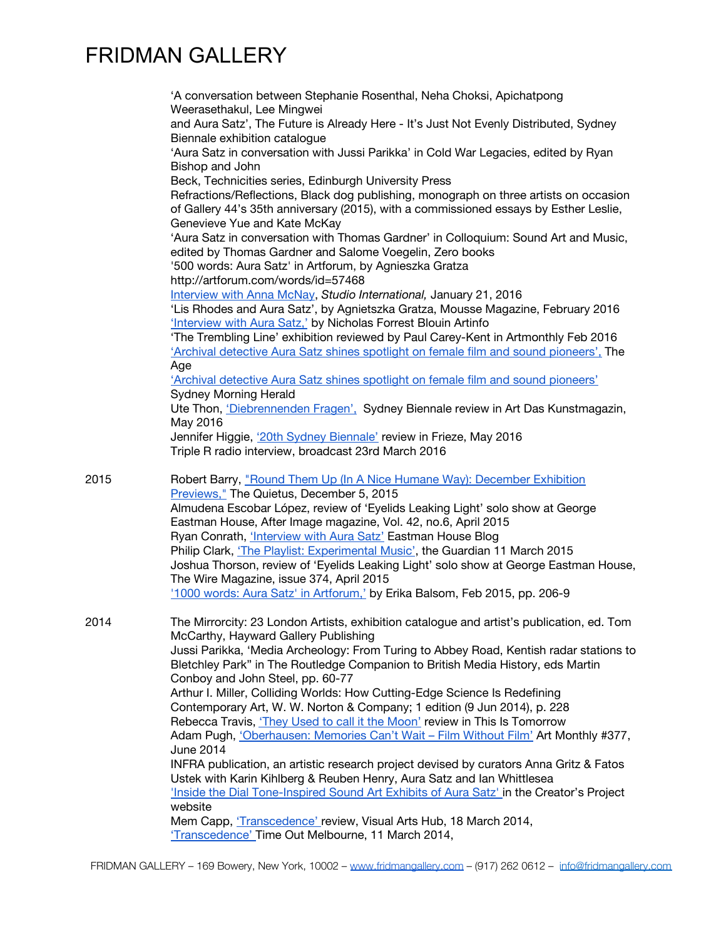|      | 'A conversation between Stephanie Rosenthal, Neha Choksi, Apichatpong<br>Weerasethakul, Lee Mingwei<br>and Aura Satz', The Future is Already Here - It's Just Not Evenly Distributed, Sydney                                                                                           |
|------|----------------------------------------------------------------------------------------------------------------------------------------------------------------------------------------------------------------------------------------------------------------------------------------|
|      | Biennale exhibition catalogue<br>'Aura Satz in conversation with Jussi Parikka' in Cold War Legacies, edited by Ryan<br>Bishop and John                                                                                                                                                |
|      | Beck, Technicities series, Edinburgh University Press<br>Refractions/Reflections, Black dog publishing, monograph on three artists on occasion<br>of Gallery 44's 35th anniversary (2015), with a commissioned essays by Esther Leslie,<br>Genevieve Yue and Kate McKay                |
|      | 'Aura Satz in conversation with Thomas Gardner' in Colloquium: Sound Art and Music,<br>edited by Thomas Gardner and Salome Voegelin, Zero books<br>'500 words: Aura Satz' in Artforum, by Agnieszka Gratza                                                                             |
|      | http://artforum.com/words/id=57468<br>Interview with Anna McNay, Studio International, January 21, 2016<br>'Lis Rhodes and Aura Satz', by Agnietszka Gratza, Mousse Magazine, February 2016<br>Interview with Aura Satz,' by Nicholas Forrest Blouin Artinfo                           |
|      | 'The Trembling Line' exhibition reviewed by Paul Carey-Kent in Artmonthly Feb 2016<br>'Archival detective Aura Satz shines spotlight on female film and sound pioneers'. The<br>Age                                                                                                    |
|      | 'Archival detective Aura Satz shines spotlight on female film and sound pioneers'<br><b>Sydney Morning Herald</b><br>Ute Thon, 'Diebrennenden Fragen', Sydney Biennale review in Art Das Kunstmagazin,                                                                                 |
|      | May 2016<br>Jennifer Higgie, '20th Sydney Biennale' review in Frieze, May 2016<br>Triple R radio interview, broadcast 23rd March 2016                                                                                                                                                  |
| 2015 | Robert Barry, "Round Them Up (In A Nice Humane Way): December Exhibition<br>Previews," The Quietus, December 5, 2015<br>Almudena Escobar López, review of 'Eyelids Leaking Light' solo show at George                                                                                  |
|      | Eastman House, After Image magazine, Vol. 42, no.6, April 2015                                                                                                                                                                                                                         |
|      | Ryan Conrath, <i>'Interview with Aura Satz'</i> Eastman House Blog<br>Philip Clark, 'The Playlist: Experimental Music', the Guardian 11 March 2015<br>Joshua Thorson, review of 'Eyelids Leaking Light' solo show at George Eastman House,<br>The Wire Magazine, issue 374, April 2015 |
|      | 1000 words: Aura Satz' in Artforum,' by Erika Balsom, Feb 2015, pp. 206-9                                                                                                                                                                                                              |
| 2014 | The Mirrorcity: 23 London Artists, exhibition catalogue and artist's publication, ed. Tom<br>McCarthy, Hayward Gallery Publishing                                                                                                                                                      |
|      | Jussi Parikka, 'Media Archeology: From Turing to Abbey Road, Kentish radar stations to<br>Bletchley Park" in The Routledge Companion to British Media History, eds Martin<br>Conboy and John Steel, pp. 60-77                                                                          |
|      | Arthur I. Miller, Colliding Worlds: How Cutting-Edge Science Is Redefining<br>Contemporary Art, W. W. Norton & Company; 1 edition (9 Jun 2014), p. 228                                                                                                                                 |
|      | Rebecca Travis, 'They Used to call it the Moon' review in This Is Tomorrow<br>Adam Pugh, 'Oberhausen: Memories Can't Wait - Film Without Film' Art Monthly #377,<br>June 2014                                                                                                          |
|      | INFRA publication, an artistic research project devised by curators Anna Gritz & Fatos<br>Ustek with Karin Kihlberg & Reuben Henry, Aura Satz and Ian Whittlesea                                                                                                                       |
|      | 'Inside the Dial Tone-Inspired Sound Art Exhibits of Aura Satz' in the Creator's Project<br>website                                                                                                                                                                                    |
|      | Mem Capp, 'Transcedence' review, Visual Arts Hub, 18 March 2014,<br>'Transcedence' Time Out Melbourne, 11 March 2014,                                                                                                                                                                  |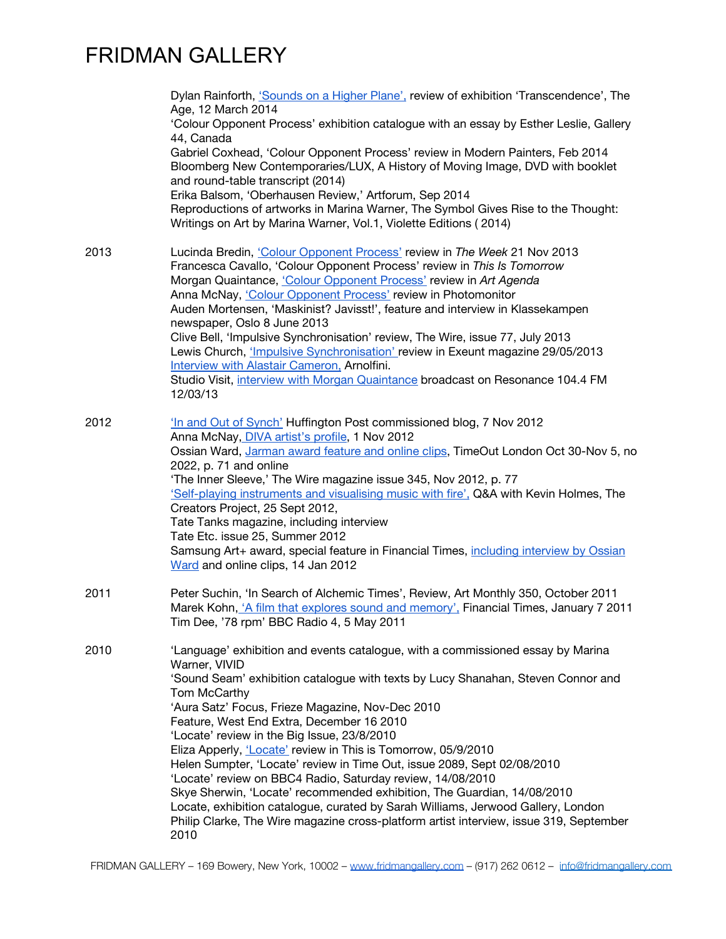|      | Dylan Rainforth, 'Sounds on a Higher Plane', review of exhibition 'Transcendence', The<br>Age, 12 March 2014<br>'Colour Opponent Process' exhibition catalogue with an essay by Esther Leslie, Gallery<br>44, Canada<br>Gabriel Coxhead, 'Colour Opponent Process' review in Modern Painters, Feb 2014<br>Bloomberg New Contemporaries/LUX, A History of Moving Image, DVD with booklet<br>and round-table transcript (2014)<br>Erika Balsom, 'Oberhausen Review,' Artforum, Sep 2014                                                                                                                                                                                                                                                                                                                                           |
|------|---------------------------------------------------------------------------------------------------------------------------------------------------------------------------------------------------------------------------------------------------------------------------------------------------------------------------------------------------------------------------------------------------------------------------------------------------------------------------------------------------------------------------------------------------------------------------------------------------------------------------------------------------------------------------------------------------------------------------------------------------------------------------------------------------------------------------------|
|      | Reproductions of artworks in Marina Warner, The Symbol Gives Rise to the Thought:<br>Writings on Art by Marina Warner, Vol.1, Violette Editions (2014)                                                                                                                                                                                                                                                                                                                                                                                                                                                                                                                                                                                                                                                                          |
| 2013 | Lucinda Bredin, 'Colour Opponent Process' review in The Week 21 Nov 2013<br>Francesca Cavallo, 'Colour Opponent Process' review in This Is Tomorrow<br>Morgan Quaintance, <i>Colour Opponent Process'</i> review in Art Agenda<br>Anna McNay, 'Colour Opponent Process' review in Photomonitor<br>Auden Mortensen, 'Maskinist? Javisst!', feature and interview in Klassekampen<br>newspaper, Oslo 8 June 2013<br>Clive Bell, 'Impulsive Synchronisation' review, The Wire, issue 77, July 2013<br>Lewis Church, <i>'Impulsive Synchronisation'</i> review in Exeunt magazine 29/05/2013<br>Interview with Alastair Cameron, Arnolfini.<br>Studio Visit, interview with Morgan Quaintance broadcast on Resonance 104.4 FM<br>12/03/13                                                                                           |
| 2012 | In and Out of Synch' Huffington Post commissioned blog, 7 Nov 2012<br>Anna McNay, DIVA artist's profile, 1 Nov 2012<br>Ossian Ward, Jarman award feature and online clips, TimeOut London Oct 30-Nov 5, no<br>2022, p. 71 and online<br>'The Inner Sleeve,' The Wire magazine issue 345, Nov 2012, p. 77<br>'Self-playing instruments and visualising music with fire', Q&A with Kevin Holmes, The<br>Creators Project, 25 Sept 2012,<br>Tate Tanks magazine, including interview<br>Tate Etc. issue 25, Summer 2012<br>Samsung Art+ award, special feature in Financial Times, including interview by Ossian<br>Ward and online clips, 14 Jan 2012                                                                                                                                                                             |
| 2011 | Peter Suchin, 'In Search of Alchemic Times', Review, Art Monthly 350, October 2011<br>Marek Kohn, 'A film that explores sound and memory', Financial Times, January 7 2011<br>Tim Dee, '78 rpm' BBC Radio 4, 5 May 2011                                                                                                                                                                                                                                                                                                                                                                                                                                                                                                                                                                                                         |
| 2010 | 'Language' exhibition and events catalogue, with a commissioned essay by Marina<br>Warner, VIVID<br>'Sound Seam' exhibition catalogue with texts by Lucy Shanahan, Steven Connor and<br>Tom McCarthy<br>'Aura Satz' Focus, Frieze Magazine, Nov-Dec 2010<br>Feature, West End Extra, December 16 2010<br>'Locate' review in the Big Issue, 23/8/2010<br>Eliza Apperly, 'Locate' review in This is Tomorrow, 05/9/2010<br>Helen Sumpter, 'Locate' review in Time Out, issue 2089, Sept 02/08/2010<br>'Locate' review on BBC4 Radio, Saturday review, 14/08/2010<br>Skye Sherwin, 'Locate' recommended exhibition, The Guardian, 14/08/2010<br>Locate, exhibition catalogue, curated by Sarah Williams, Jerwood Gallery, London<br>Philip Clarke, The Wire magazine cross-platform artist interview, issue 319, September<br>2010 |